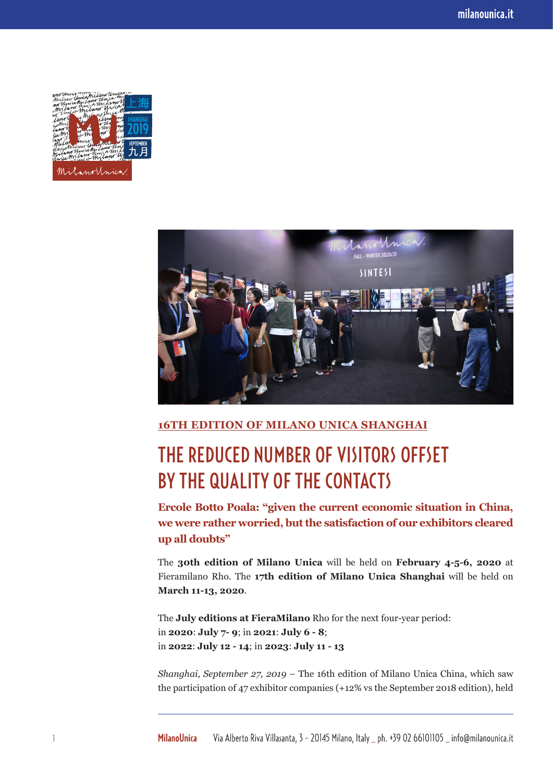



## **16TH EDITION OF MILANO UNICA SHANGHAI**

## THE REDUCED NUMBER OF VISITORS OFFSET BY THE QUALITY OF THE CONTACTS

**Ercole Botto Poala: "given the current economic situation in China, we were rather worried, but the satisfaction of our exhibitors cleared up all doubts"** 

The **30th edition of Milano Unica** will be held on **February 4-5-6, 2020** at Fieramilano Rho. The **17th edition of Milano Unica Shanghai** will be held on **March 11-13, 2020**.

The **July editions at FieraMilano** Rho for the next four-year period: in **2020**: **July 7- 9**; in **2021**: **July 6 - 8**; in **2022**: **July 12 - 14**; in **2023**: **July 11 - 13**

*Shanghai, September 27, 2019 –* The 16th edition of Milano Unica China, which saw the participation of 47 exhibitor companies (+12% vs the September 2018 edition), held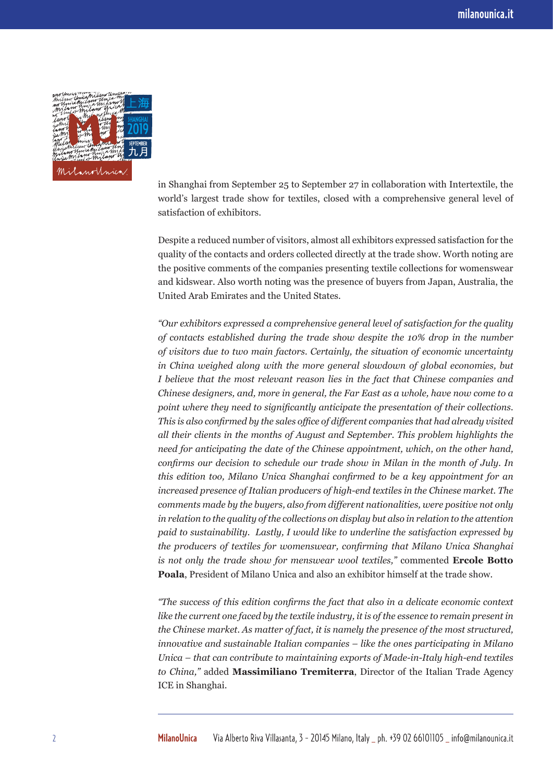

in Shanghai from September 25 to September 27 in collaboration with Intertextile, the world's largest trade show for textiles, closed with a comprehensive general level of satisfaction of exhibitors.

Despite a reduced number of visitors, almost all exhibitors expressed satisfaction for the quality of the contacts and orders collected directly at the trade show. Worth noting are the positive comments of the companies presenting textile collections for womenswear and kidswear. Also worth noting was the presence of buyers from Japan, Australia, the United Arab Emirates and the United States.

*"Our exhibitors expressed a comprehensive general level of satisfaction for the quality of contacts established during the trade show despite the 10% drop in the number of visitors due to two main factors. Certainly, the situation of economic uncertainty in China weighed along with the more general slowdown of global economies, but I believe that the most relevant reason lies in the fact that Chinese companies and Chinese designers, and, more in general, the Far East as a whole, have now come to a point where they need to significantly anticipate the presentation of their collections. This is also confirmed by the sales office of different companies that had already visited all their clients in the months of August and September. This problem highlights the need for anticipating the date of the Chinese appointment, which, on the other hand, confirms our decision to schedule our trade show in Milan in the month of July. In this edition too, Milano Unica Shanghai confirmed to be a key appointment for an increased presence of Italian producers of high-end textiles in the Chinese market. The comments made by the buyers, also from different nationalities, were positive not only in relation to the quality of the collections on display but also in relation to the attention paid to sustainability. Lastly, I would like to underline the satisfaction expressed by the producers of textiles for womenswear, confirming that Milano Unica Shanghai is not only the trade show for menswear wool textiles,"* commented **Ercole Botto Poala**, President of Milano Unica and also an exhibitor himself at the trade show.

*"The success of this edition confirms the fact that also in a delicate economic context like the current one faced by the textile industry, it is of the essence to remain present in the Chinese market. As matter of fact, it is namely the presence of the most structured, innovative and sustainable Italian companies – like the ones participating in Milano Unica – that can contribute to maintaining exports of Made-in-Italy high-end textiles to China,"* added **Massimiliano Tremiterra**, Director of the Italian Trade Agency ICE in Shanghai.